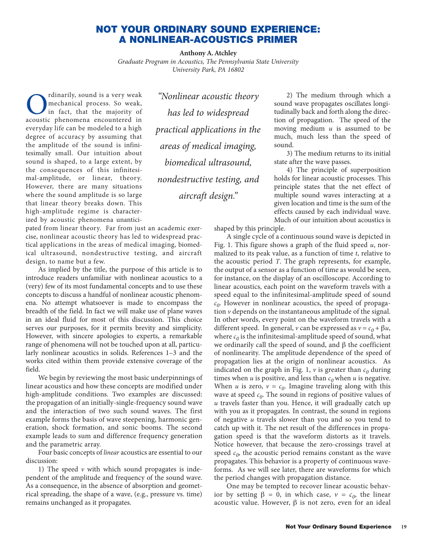## **NOT YOUR ORDINARY SOUND EXPERIENCE: A NONLINEAR-ACOUSTICS PRIMER**

**Anthony A. Atchley**

*Graduate Program in Acoustics, The Pennsylvania State University University Park, PA 16802*

**C** rdinarily, sound is a very weak,<br>mechanical process. So weak,<br>acoustic phenomena encountered in mechanical process. So weak, in fact, that the majority of acoustic phenomena encountered in everyday life can be modeled to a high degree of accuracy by assuming that the amplitude of the sound is infinitesimally small. Our intuition about sound is shaped, to a large extent, by the consequences of this infinitesimal-amplitude, or linear, theory. However, there are many situations where the sound amplitude is so large that linear theory breaks down. This high-amplitude regime is characterized by acoustic phenomena unantici-

pated from linear theory. Far from just an academic exercise, nonlinear acoustic theory has led to widespread practical applications in the areas of medical imaging, biomedical ultrasound, nondestructive testing, and aircraft design, to name but a few.

As implied by the title, the purpose of this article is to introduce readers unfamiliar with nonlinear acoustics to a (very) few of its most fundamental concepts and to use these concepts to discuss a handful of nonlinear acoustic phenomena. No attempt whatsoever is made to encompass the breadth of the field. In fact we will make use of plane waves in an ideal fluid for most of this discussion. This choice serves our purposes, for it permits brevity and simplicity. However, with sincere apologies to experts, a remarkable range of phenomena will not be touched upon at all, particularly nonlinear acoustics in solids. References 1–3 and the works cited within them provide extensive coverage of the field.

We begin by reviewing the most basic underpinnings of linear acoustics and how these concepts are modified under high-amplitude conditions. Two examples are discussed: the propagation of an initially-single-frequency sound wave and the interaction of two such sound waves. The first example forms the basis of wave steepening, harmonic generation, shock formation, and sonic booms. The second example leads to sum and difference frequency generation and the parametric array.

Four basic concepts of *linear* acoustics are essential to our discussion:

1) The speed  $\nu$  with which sound propagates is independent of the amplitude and frequency of the sound wave. As a consequence, in the absence of absorption and geometrical spreading, the shape of a wave, (e.g., pressure vs. time) remains unchanged as it propagates.

*"Nonlinear acoustic theory has led to widespread practical applications in the areas of medical imaging, biomedical ultrasound, nondestructive testing, and aircraft design."*

2) The medium through which a sound wave propagates oscillates longitudinally back and forth along the direction of propagation. The speed of the moving medium *u* is assumed to be much, much less than the speed of sound.

3) The medium returns to its initial state after the wave passes.

4) The principle of superposition holds for linear acoustic processes. This principle states that the net effect of multiple sound waves interacting at a given location and time is the sum of the effects caused by each individual wave. Much of our intuition about acoustics is

shaped by this principle.

A single cycle of a continuous sound wave is depicted in Fig. 1. This figure shows a graph of the fluid speed *u*, normalized to its peak value, as a function of time *t*, relative to the acoustic period *T*. The graph represents, for example, the output of a sensor as a function of time as would be seen, for instance, on the display of an oscilloscope. According to linear acoustics, each point on the waveform travels with a speed equal to the infinitesimal-amplitude speed of sound  $c<sub>0</sub>$ . However in nonlinear acoustics, the speed of propagation *v* depends on the instantaneous amplitude of the signal. In other words, every point on the waveform travels with a different speed. In general, *v* can be expressed as  $v = c_0 + \beta u$ , where  $c_0$  is the infinitesimal-amplitude speed of sound, what we ordinarily call the speed of sound, and  $β$  the coefficient of nonlinearity. The amplitude dependence of the speed of propagation lies at the origin of nonlinear acoustics. As indicated on the graph in Fig. 1,  $\nu$  is greater than  $c_0$  during times when *u* is positive, and less than  $c_0$  when *u* is negative. When *u* is zero,  $v = c_0$ . Imagine traveling along with this wave at speed  $c_0$ . The sound in regions of positive values of *u* travels faster than you. Hence, it will gradually catch up with you as it propagates. In contrast, the sound in regions of negative *u* travels slower than you and so you tend to catch up with it. The net result of the differences in propagation speed is that the waveform distorts as it travels. Notice however, that because the zero-crossings travel at speed  $c_0$ , the acoustic period remains constant as the wave propagates. This behavior is a property of continuous waveforms. As we will see later, there are waveforms for which the period changes with propagation distance.

One may be tempted to recover linear acoustic behavior by setting  $β = 0$ , in which case,  $ν = c_0$ , the linear acoustic value. However,  $β$  is not zero, even for an ideal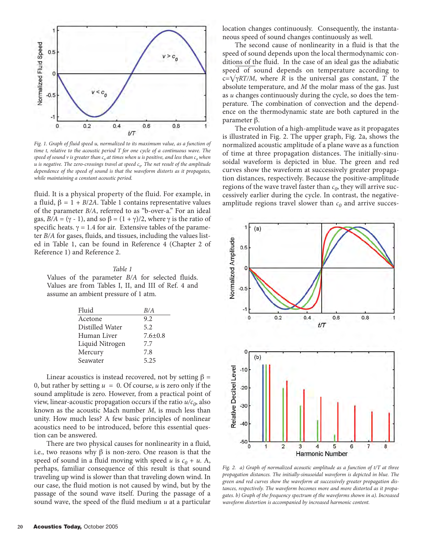

*Fig. 1. Graph of fluid speed u, normalized to its maximum value, as a function of time t, relative to the acoustic period T for one cycle of a continuous wave. The speed of sound v is greater than c<sub>0</sub> at times when u is positive, and less than c<sub>0</sub> <i>when u* is negative. The zero-crossings travel at speed  $c_0$ . The net result of the amplitude *dependence of the speed of sound is that the waveform distorts as it propagates, while maintaining a constant acoustic period.* 

fluid. It is a physical property of the fluid. For example, in a fluid, β = 1 + *B*/*2A*. Table 1 contains representative values of the parameter *B/A*, referred to as "b-over-a." For an ideal gas,  $B/A = (\gamma - 1)$ , and so  $\beta = (1 + \gamma)/2$ , where  $\gamma$  is the ratio of specific heats.  $\gamma = 1.4$  for air. Extensive tables of the parameter *B/A* for gases, fluids, and tissues, including the values listed in Table 1, can be found in Reference 4 (Chapter 2 of Reference 1) and Reference 2.

## *Table 1*

Values of the parameter *B/A* for selected fluids. Values are from Tables I, II, and III of Ref. 4 and assume an ambient pressure of 1 atm.

| Fluid           | B/A           |
|-----------------|---------------|
| Acetone         | 9.2           |
| Distilled Water | 5.2           |
| Human Liver     | $7.6 \pm 0.8$ |
| Liquid Nitrogen | 7.7           |
| Mercury         | 7.8           |
| Seawater        | 5.25          |

Linear acoustics is instead recovered, not by setting  $\beta =$ 0, but rather by setting  $u = 0$ . Of course, *u* is zero only if the sound amplitude is zero. However, from a practical point of view, linear-acoustic propagation occurs if the ratio  $u/c_0$ , also known as the acoustic Mach number *M*, is much less than unity. How much less? A few basic principles of nonlinear acoustics need to be introduced, before this essential question can be answered.

There are two physical causes for nonlinearity in a fluid, i.e., two reasons why  $\beta$  is non-zero. One reason is that the speed of sound in a fluid moving with speed *u* is  $c_0 + u$ . A, perhaps, familiar consequence of this result is that sound traveling up wind is slower than that traveling down wind. In our case, the fluid motion is not caused by wind, but by the passage of the sound wave itself. During the passage of a sound wave, the speed of the fluid medium *u* at a particular location changes continuously. Consequently, the instantaneous speed of sound changes continuously as well.

The second cause of nonlinearity in a fluid is that the speed of sound depends upon the local thermodynamic conditions of the fluid. In the case of an ideal gas the adiabatic speed of sound depends on temperature according to  $c = \sqrt{\gamma RT/M}$ , where *R* is the universal gas constant, *T* the absolute temperature, and *M* the molar mass of the gas. Just as *u* changes continuously during the cycle, so does the temperature. The combination of convection and the dependence on the thermodynamic state are both captured in the parameter β.

The evolution of a high-amplitude wave as it propagates is illustrated in Fig. 2. The upper graph, Fig. 2a, shows the normalized acoustic amplitude of a plane wave as a function of time at three propagation distances. The initially-sinusoidal waveform is depicted in blue. The green and red curves show the waveform at successively greater propagation distances, respectively. Because the positive-amplitude regions of the wave travel faster than  $c_0$ , they will arrive successively earlier during the cycle. In contrast, the negativeamplitude regions travel slower than  $c_0$  and arrive succes-



*Fig. 2. a) Graph of normalized acoustic amplitude as a function of t/T at three propagation distances. The initially-sinusoidal waveform is depicted in blue. The green and red curves show the waveform at successively greater propagation distances, respectively. The waveform becomes more and more distorted as it propagates. b) Graph of the frequency spectrum of the waveforms shown in a). Increased waveform distortion is accompanied by increased harmonic content.*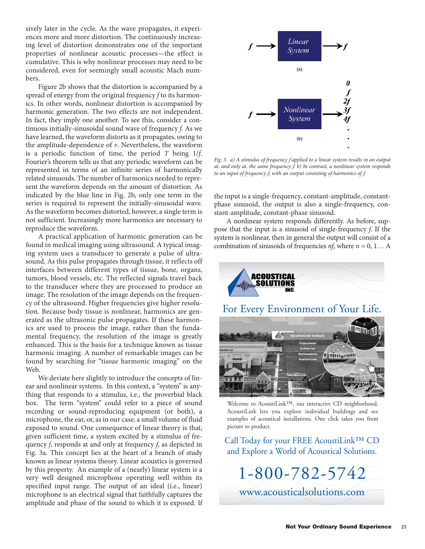sively later in the cycle. As the wave propagates, it experiences more and more distortion. The continuously increasing level of distortion demonstrates one of the important properties of nonlinear acoustic processes—the effect is cumulative. This is why nonlinear processes may need to be considered, even for seemingly small acoustic Mach numbers.

Figure 2b shows that the distortion is accompanied by a spread of energy from the original frequency *f* to its harmonics. In other words, nonlinear distortion is accompanied by harmonic generation. The two effects are not independent. In fact, they imply one another. To see this, consider a continuous initially-sinusoidal sound wave of frequency *f*. As we have learned, the waveform distorts as it propagates, owing to the amplitude-dependence of *v*. Nevertheless, the waveform is a periodic function of time, the period *T* being 1/*f*. Fourier's theorem tells us that any periodic waveform can be represented in terms of an infinite series of harmonically related sinusoids. The number of harmonics needed to represent the waveform depends on the amount of distortion. As indicated by the blue line in Fig. 2b, only one term in the series is required to represent the initially-sinusoidal wave. As the waveform becomes distorted, however, a single term is not sufficient. Increasingly more harmonics are necessary to reproduce the waveform.

A practical application of harmonic generation can be found in medical imaging using ultrasound. A typical imaging system uses a transducer to generate a pulse of ultrasound. As this pulse propagates through tissue, it reflects off interfaces between different types of tissue, bone, organs, tumors, blood vessels, etc. The reflected signals travel back to the transducer where they are processed to produce an image. The resolution of the image depends on the frequency of the ultrasound. Higher frequencies give higher resolution. Because body tissue is nonlinear, harmonics are generated as the ultrasonic pulse propagates. If these harmonics are used to process the image, rather than the fundamental frequency, the resolution of the image is greatly enhanced. This is the basis for a technique known as tissue harmonic imaging. A number of remarkable images can be found by searching for "tissue harmonic imaging" on the Web.

We deviate here slightly to introduce the concepts of linear and nonlinear systems. In this context, a "system" is anything that responds to a stimulus, i.e., the proverbial black box. The term "system" could refer to a piece of sound recording or sound-reproducing equipment (or both), a microphone, the ear, or, as in our case, a small volume of fluid exposed to sound. One consequence of linear theory is that, given sufficient time, a system excited by a stimulus of frequency *f*, responds at and only at frequency *f*, as depicted in Fig. 3a. This concept lies at the heart of a branch of study known as linear systems theory. Linear acoustics is governed by this property. An example of a (nearly) linear system is a very well designed microphone operating well within its specified input range. The output of an ideal (i.e., linear) microphone is an electrical signal that faithfully captures the amplitude and phase of the sound to which it is exposed. If



*Fig. 3. a) A stimulus of frequency f applied to a linear system results in an output at, and only at, the same frequency f. b) In contrast, a nonlinear system responds to an input of frequency f, with an output consisting of harmonics of f.* 

the input is a single-frequency, constant-amplitude, constantphase sinusoid, the output is also a single-frequency, constant-amplitude, constant-phase sinusoid.

A nonlinear system responds differently. As before, suppose that the input is a sinusoid of single-frequency *f*. If the system is nonlinear, then in general the output will consist of a combination of sinusoids of frequencies *nf*, where *n* = 0, 1… A



Welcome to AcoustiLink™, our interactive CD neighborhood. AcoustiLink lets you explore individual buildings and see examples of acoustical installations. One click takes you from picture to product.

Call Today for your FREE AcoustiLink™ CD and Explore a World of Acoustical Solutions.

1-800-782-5742 [www.acousticalsolutions.com](http://www.acousticalsolutions.com)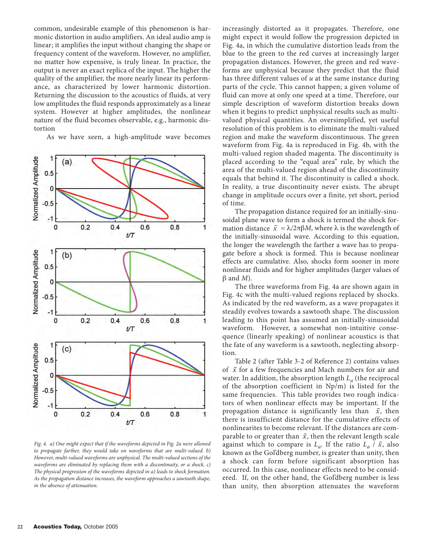common, undesirable example of this phenomenon is harmonic distortion in audio amplifiers. An ideal audio amp is linear; it amplifies the input without changing the shape or frequency content of the waveform. However, no amplifier, no matter how expensive, is truly linear. In practice, the output is never an exact replica of the input. The higher the quality of the amplifier, the more nearly linear its performance, as characterized by lower harmonic distortion. Returning the discussion to the acoustics of fluids, at very low amplitudes the fluid responds approximately as a linear system. However at higher amplitudes, the nonlinear nature of the fluid becomes observable, e.g., harmonic distortion

As we have seen, a high-amplitude wave becomes



*Fig. 4. a) One might expect that if the waveforms depicted in Fig. 2a were allowed to propagate farther, they would take on waveforms that are multi-valued. b) However, multi-valued waveforms are unphysical. The multi-valued sections of the waveforms are eliminated by replacing them with a discontinuity, or a shock. c) The physical progression of the waveforms depicted in a) leads to shock formation. As the propagation distance increases, the waveform approaches a sawtooth shape, in the absence of attenuation.* 

increasingly distorted as it propagates. Therefore, one might expect it would follow the progression depicted in Fig. 4a, in which the cumulative distortion leads from the blue to the green to the red curves at increasingly larger propagation distances. However, the green and red waveforms are unphysical because they predict that the fluid has three different values of *u* at the same instance during parts of the cycle. This cannot happen; a given volume of fluid can move at only one speed at a time. Therefore, our simple description of waveform distortion breaks down when it begins to predict unphysical results such as multivalued physical quantities. An oversimplified, yet useful resolution of this problem is to eliminate the multi-valued region and make the waveform discontinuous. The green waveform from Fig. 4a is reproduced in Fig. 4b, with the multi-valued region shaded magenta. The discontinuity is placed according to the "equal area" rule, by which the area of the multi-valued region ahead of the discontinuity equals that behind it. The discontinuity is called a shock. In reality, a true discontinuity never exists. The abrupt change in amplitude occurs over a finite, yet short, period of time.

The propagation distance required for an initially-sinusoidal plane wave to form a shock is termed the shock formation distance  $\bar{x} = \lambda/2\pi\beta M$ , where  $\lambda$  is the wavelength of the initially-sinusoidal wave. According to this equation, the longer the wavelength the farther a wave has to propagate before a shock is formed. This is because nonlinear effects are cumulative. Also, shocks form sooner in more nonlinear fluids and for higher amplitudes (larger values of β and *M*).

The three waveforms from Fig. 4a are shown again in Fig. 4c with the multi-valued regions replaced by shocks. As indicated by the red waveform, as a wave propagates it steadily evolves towards a sawtooth shape. The discussion leading to this point has assumed an initially-sinusoidal waveform. However, a somewhat non-intuitive consequence (linearly speaking) of nonlinear acoustics is that the fate of any waveform is a sawtooth, neglecting absorption.

Table 2 (after Table 3-2 of Reference 2) contains values Fraction  $\frac{1}{2}$  and  $\frac{1}{2}$  and  $\frac{1}{2}$  of Reference 2) contains values of  $\bar{x}$  for a few frequencies and Mach numbers for air and water. In addition, the absorption length *La* (the reciprocal of the absorption coefficient in Np/m) is listed for the same frequencies. This table provides two rough indicators of when nonlinear effects may be important. If the propagation distance is significantly less than  $\bar{x}$ , then there is insufficient distance for the cumulative effects of nonlinearites to become relevant. If the distances are comparable to or greater than  $\bar{x}$ , then the relevant length scale against which to compare is  $L_a$ . If the ratio  $L_a$  /  $\bar{x}$ , also known as the Gol'dberg number, is greater than unity, then a shock can form before significant absorption has occurred. In this case, nonlinear effects need to be considered. If, on the other hand, the Gol'dberg number is less than unity, then absorption attenuates the waveform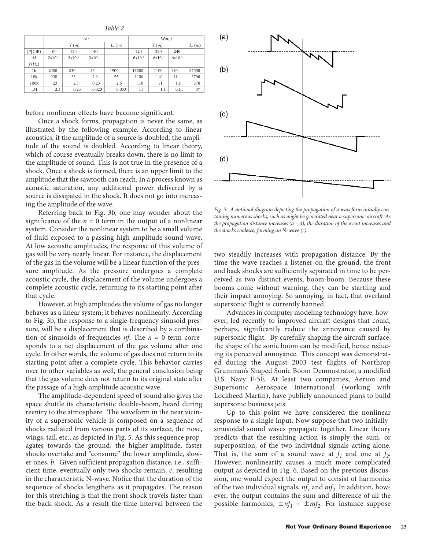*Table 2*

|            | Air          |                   |                   |          | Water             |          |          |            |
|------------|--------------|-------------------|-------------------|----------|-------------------|----------|----------|------------|
|            | $\bar{x}(m)$ |                   |                   | $L_a(m)$ | $\bar{x}(m)$      |          |          | $L_{2}(m)$ |
| $ P $ (dB) | 100          | 120               | 140               |          | 220               | 220      | 240      |            |
| М          | $2x10^5$     | 2x10 <sup>4</sup> | 2x10 <sup>3</sup> |          | 6x10 <sup>6</sup> | $6x10^3$ | $6x10^4$ |            |
| f(Hz)      |              |                   |                   |          |                   |          |          |            |
| 1k         | 2300         | 230               | 23                | 1900     | 11000             | 1100     | 110      | 37000      |
| 10k        | 230          | 23                | 2.3               | 55       | 1100              | 110      | 11       | 3700       |
| 100k       | 23           | 2.3               | 0.23              | 2.6      | 110               | 11       | 1.1      | 370        |
| 1M         | 2.3          | 0.23              | 0.023             | 0.053    | 11                | 1.1      | 0.11     | 37         |

before nonlinear effects have become significant.

Once a shock forms, propagation is never the same, as illustrated by the following example. According to linear acoustics, if the amplitude of a source is doubled, the amplitude of the sound is doubled. According to linear theory, which of course eventually breaks down, there is no limit to the amplitude of sound. This is not true in the presence of a shock. Once a shock is formed, there is an upper limit to the amplitude that the sawtooth can reach. In a process known as acoustic saturation, any additional power delivered by a source is dissipated in the shock. It does not go into increasing the amplitude of the wave.

Referring back to Fig. 3b, one may wonder about the significance of the  $n = 0$  term in the output of a nonlinear system. Consider the nonlinear system to be a small volume of fluid exposed to a passing high-amplitude sound wave. At low acoustic amplitudes, the response of this volume of gas will be very nearly linear. For instance, the displacement of the gas in the volume will be a linear function of the pressure amplitude. As the pressure undergoes a complete acoustic cycle, the displacement of the volume undergoes a complete acoustic cycle, returning to its starting point after that cycle.

However, at high amplitudes the volume of gas no longer behaves as a linear system; it behaves nonlinearly. According to Fig. 3b, the response to a single-frequency sinusoid pressure, will be a displacement that is described by a combination of sinusoids of frequencies *nf*. The *n* = 0 term corresponds to a net displacement of the gas volume after one cycle. In other words, the volume of gas does not return to its starting point after a complete cycle. This behavior carries over to other variables as well, the general conclusion being that the gas volume does not return to its original state after the passage of a high-amplitude acoustic wave.

The amplitude-dependent speed of sound also gives the space shuttle its characteristic double-boom, heard during reentry to the atmosphere. The waveform in the near vicinity of a supersonic vehicle is composed on a sequence of shocks radiated from various parts of its surface, the nose, wings, tail, etc., as depicted in Fig. 5. As this sequence propagates towards the ground, the higher-amplitude, faster shocks overtake and "consume" the lower amplitude, slower ones, *b*. Given sufficient propagation distance, i.e., sufficient time, eventually only two shocks remain, *c*, resulting in the characteristic N-wave. Notice that the duration of the sequence of shocks lengthens as it propagates. The reason for this stretching is that the front shock travels faster than the back shock. As a result the time interval between the



*Fig. 5. A notional diagram depicting the propagation of a waveform initially containing numerous shocks, such as might be generated near a supersonic aircraft. As the propagation distance increases (a – d), the duration of the event increases and the shocks coalesce, forming an N-wave (c).*

two steadily increases with propagation distance. By the time the wave reaches a listener on the ground, the front and back shocks are sufficiently separated in time to be perceived as two distinct events, boom-boom. Because these booms come without warning, they can be startling and their impact annoying. So annoying, in fact, that overland supersonic flight is currently banned.

Advances in computer modeling technology have, however, led recently to improved aircraft designs that could, perhaps, significantly reduce the annoyance caused by supersonic flight. By carefully shaping the aircraft surface, the shape of the sonic boom can be modified, hence reducing its perceived annoyance. This concept was demonstrated during the August 2003 test flights of Northrop Grumman's Shaped Sonic Boom Demonstrator, a modified U.S. Navy F-5E. At least two companies, Aerion and Supersonic Aerospace International (working with Lockheed Martin), have publicly announced plans to build supersonic business jets.

Up to this point we have considered the nonlinear response to a single input. Now suppose that two initiallysinusoidal sound waves propagate together. Linear theory predicts that the resulting action is simply the sum, or superposition, of the two individual signals acting alone. That is, the sum of a sound wave at  $f_1$  and one at  $f_2$ . However, nonlinearity causes a much more complicated output as depicted in Fig. 6. Based on the previous discussion, one would expect the output to consist of harmonics of the two individual signals,  $nf_1$  and  $mf_2$ . In addition, however, the output contains the sum and difference of all the possible harmonics,  $\pm nf_1 + \pm mf_2$ . For instance suppose